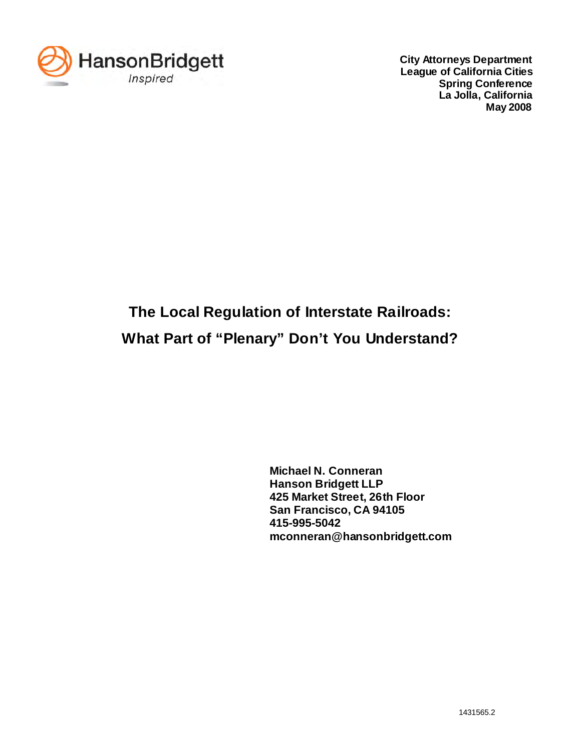

**City Attorneys Department League of California Cities Spring Conference La Jolla, California May 2008**

# **The Local Regulation of Interstate Railroads: What Part of "Plenary" Don't You Understand?**

**Michael N. Conneran Hanson Bridgett LLP 425 Market Street, 26th Floor San Francisco, CA 94105 415-995-5042 mconneran@hansonbridgett.com**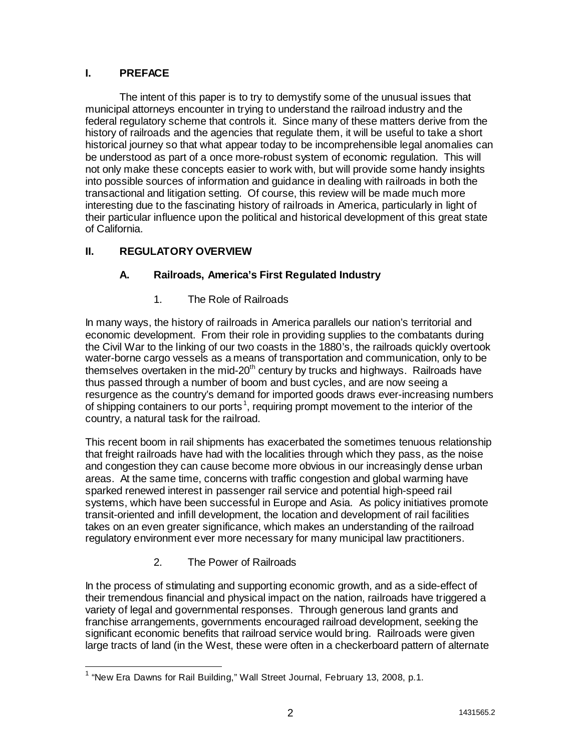## **I. PREFACE**

The intent of this paper is to try to demystify some of the unusual issues that municipal attorneys encounter in trying to understand the railroad industry and the federal regulatory scheme that controls it. Since many of these matters derive from the history of railroads and the agencies that regulate them, it will be useful to take a short historical journey so that what appear today to be incomprehensible legal anomalies can be understood as part of a once more-robust system of economic regulation. This will not only make these concepts easier to work with, but will provide some handy insights into possible sources of information and guidance in dealing with railroads in both the transactional and litigation setting. Of course, this review will be made much more interesting due to the fascinating history of railroads in America, particularly in light of their particular influence upon the political and historical development of this great state of California.

# **II. REGULATORY OVERVIEW**

# **A. Railroads, America's First Regulated Industry**

1. The Role of Railroads

In many ways, the history of railroads in America parallels our nation's territorial and economic development. From their role in providing supplies to the combatants during the Civil War to the linking of our two coasts in the 1880's, the railroads quickly overtook water-borne cargo vessels as a means of transportation and communication, only to be themselves overtaken in the mid-20<sup>th</sup> century by trucks and highways. Railroads have thus passed through a number of boom and bust cycles, and are now seeing a resurgence as the country's demand for imported goods draws ever-increasing numbers of shipping containers to our ports<sup>1</sup>, requiring prompt movement to the interior of the country, a natural task for the railroad.

This recent boom in rail shipments has exacerbated the sometimes tenuous relationship that freight railroads have had with the localities through which they pass, as the noise and congestion they can cause become more obvious in our increasingly dense urban areas. At the same time, concerns with traffic congestion and global warming have sparked renewed interest in passenger rail service and potential high-speed rail systems, which have been successful in Europe and Asia. As policy initiatives promote transit-oriented and infill development, the location and development of rail facilities takes on an even greater significance, which makes an understanding of the railroad regulatory environment ever more necessary for many municipal law practitioners.

# 2. The Power of Railroads

In the process of stimulating and supporting economic growth, and as a side-effect of their tremendous financial and physical impact on the nation, railroads have triggered a variety of legal and governmental responses. Through generous land grants and franchise arrangements, governments encouraged railroad development, seeking the significant economic benefits that railroad service would bring. Railroads were given large tracts of land (in the West, these were often in a checkerboard pattern of alternate

 $\overline{\phantom{a}}$  $^1$  "New Era Dawns for Rail Building," Wall Street Journal, February 13, 2008, p.1.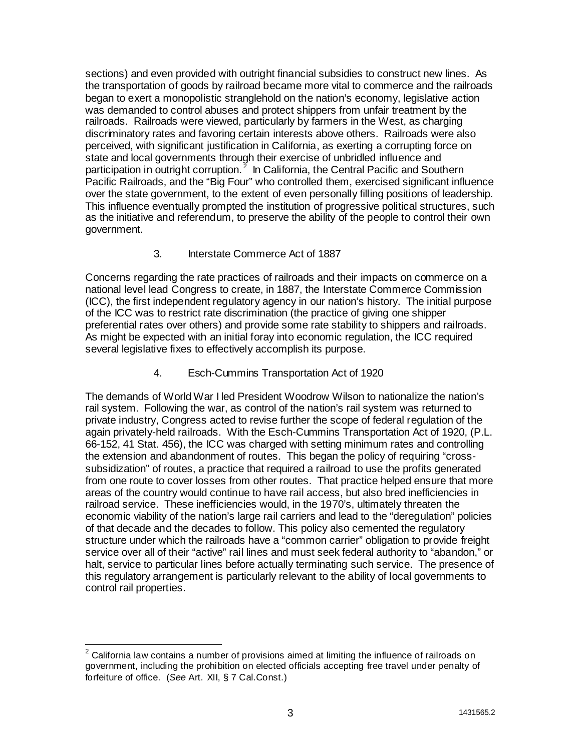sections) and even provided with outright financial subsidies to construct new lines. As the transportation of goods by railroad became more vital to commerce and the railroads began to exert a monopolistic stranglehold on the nation's economy, legislative action was demanded to control abuses and protect shippers from unfair treatment by the railroads. Railroads were viewed, particularly by farmers in the West, as charging discriminatory rates and favoring certain interests above others. Railroads were also perceived, with significant justification in California, as exerting a corrupting force on state and local governments through their exercise of unbridled influence and participation in outright corruption.<sup>2</sup> In California, the Central Pacific and Southern Pacific Railroads, and the "Big Four" who controlled them, exercised significant influence over the state government, to the extent of even personally filling positions of leadership. This influence eventually prompted the institution of progressive political structures, such as the initiative and referendum, to preserve the ability of the people to control their own government.

#### 3. Interstate Commerce Act of 1887

Concerns regarding the rate practices of railroads and their impacts on commerce on a national level lead Congress to create, in 1887, the Interstate Commerce Commission (ICC), the first independent regulatory agency in our nation's history. The initial purpose of the ICC was to restrict rate discrimination (the practice of giving one shipper preferential rates over others) and provide some rate stability to shippers and railroads. As might be expected with an initial foray into economic regulation, the ICC required several legislative fixes to effectively accomplish its purpose.

#### 4. Esch-Cummins Transportation Act of 1920

The demands of World War I led President Woodrow Wilson to nationalize the nation's rail system. Following the war, as control of the nation's rail system was returned to private industry, Congress acted to revise further the scope of federal regulation of the again privately-held railroads. With the Esch-Cummins Transportation Act of 1920, (P.L. 66-152, 41 Stat. 456), the ICC was charged with setting minimum rates and controlling the extension and abandonment of routes. This began the policy of requiring "crosssubsidization" of routes, a practice that required a railroad to use the profits generated from one route to cover losses from other routes. That practice helped ensure that more areas of the country would continue to have rail access, but also bred inefficiencies in railroad service. These inefficiencies would, in the 1970's, ultimately threaten the economic viability of the nation's large rail carriers and lead to the "deregulation" policies of that decade and the decades to follow. This policy also cemented the regulatory structure under which the railroads have a "common carrier" obligation to provide freight service over all of their "active" rail lines and must seek federal authority to "abandon," or halt, service to particular lines before actually terminating such service. The presence of this regulatory arrangement is particularly relevant to the ability of local governments to control rail properties.

 $\overline{\mathbf{c}}$ <sup>2</sup> California law contains a number of provisions aimed at limiting the influence of railroads on government, including the prohibition on elected officials accepting free travel under penalty of forfeiture of office. (*See* Art. XII, § 7 Cal.Const.)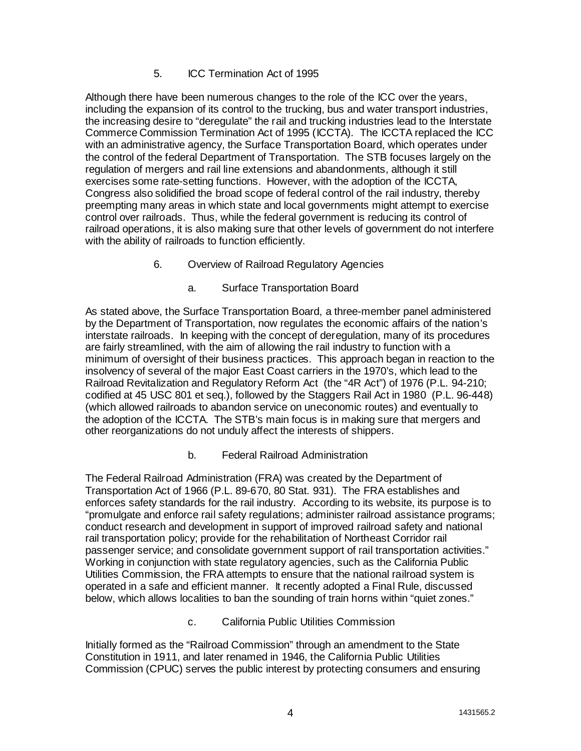## 5. ICC Termination Act of 1995

Although there have been numerous changes to the role of the ICC over the years, including the expansion of its control to the trucking, bus and water transport industries, the increasing desire to "deregulate" the rail and trucking industries lead to the Interstate Commerce Commission Termination Act of 1995 (ICCTA). The ICCTA replaced the ICC with an administrative agency, the Surface Transportation Board, which operates under the control of the federal Department of Transportation. The STB focuses largely on the regulation of mergers and rail line extensions and abandonments, although it still exercises some rate-setting functions. However, with the adoption of the ICCTA, Congress also solidified the broad scope of federal control of the rail industry, thereby preempting many areas in which state and local governments might attempt to exercise control over railroads. Thus, while the federal government is reducing its control of railroad operations, it is also making sure that other levels of government do not interfere with the ability of railroads to function efficiently.

- 6. Overview of Railroad Regulatory Agencies
	- a. Surface Transportation Board

As stated above, the Surface Transportation Board, a three-member panel administered by the Department of Transportation, now regulates the economic affairs of the nation's interstate railroads. In keeping with the concept of deregulation, many of its procedures are fairly streamlined, with the aim of allowing the rail industry to function with a minimum of oversight of their business practices. This approach began in reaction to the insolvency of several of the major East Coast carriers in the 1970's, which lead to the Railroad Revitalization and Regulatory Reform Act (the "4R Act") of 1976 (P.L. 94-210; codified at 45 USC 801 et seq.), followed by the Staggers Rail Act in 1980 (P.L. 96-448) (which allowed railroads to abandon service on uneconomic routes) and eventually to the adoption of the ICCTA. The STB's main focus is in making sure that mergers and other reorganizations do not unduly affect the interests of shippers.

#### b. Federal Railroad Administration

The Federal Railroad Administration (FRA) was created by the Department of Transportation Act of 1966 (P.L. 89-670, 80 Stat. 931). The FRA establishes and enforces safety standards for the rail industry. According to its website, its purpose is to "promulgate and enforce rail safety regulations; administer railroad assistance programs; conduct research and development in support of improved railroad safety and national rail transportation policy; provide for the rehabilitation of Northeast Corridor rail passenger service; and consolidate government support of rail transportation activities." Working in conjunction with state regulatory agencies, such as the California Public Utilities Commission, the FRA attempts to ensure that the national railroad system is operated in a safe and efficient manner. It recently adopted a Final Rule, discussed below, which allows localities to ban the sounding of train horns within "quiet zones."

c. California Public Utilities Commission

Initially formed as the "Railroad Commission" through an amendment to the State Constitution in 1911, and later renamed in 1946, the California Public Utilities Commission (CPUC) serves the public interest by protecting consumers and ensuring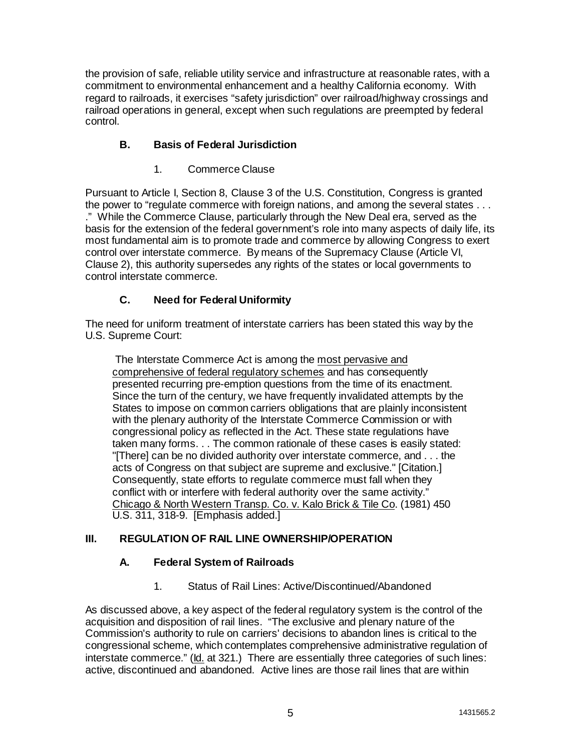the provision of safe, reliable utility service and infrastructure at reasonable rates, with a commitment to environmental enhancement and a healthy California economy. With regard to railroads, it exercises "safety jurisdiction" over railroad/highway crossings and railroad operations in general, except when such regulations are preempted by federal control.

# **B. Basis of Federal Jurisdiction**

1. Commerce Clause

Pursuant to Article I, Section 8, Clause 3 of the U.S. Constitution, Congress is granted the power to "regulate commerce with foreign nations, and among the several states . . . ." While the Commerce Clause, particularly through the New Deal era, served as the basis for the extension of the federal government's role into many aspects of daily life, its most fundamental aim is to promote trade and commerce by allowing Congress to exert control over interstate commerce. By means of the Supremacy Clause (Article VI, Clause 2), this authority supersedes any rights of the states or local governments to control interstate commerce.

# **C. Need for Federal Uniformity**

The need for uniform treatment of interstate carriers has been stated this way by the U.S. Supreme Court:

The Interstate Commerce Act is among the most pervasive and comprehensive of federal regulatory schemes and has consequently presented recurring pre-emption questions from the time of its enactment. Since the turn of the century, we have frequently invalidated attempts by the States to impose on common carriers obligations that are plainly inconsistent with the plenary authority of the Interstate Commerce Commission or with congressional policy as reflected in the Act. These state regulations have taken many forms. . . The common rationale of these cases is easily stated: "[There] can be no divided authority over interstate commerce, and . . . the acts of Congress on that subject are supreme and exclusive." [Citation.] Consequently, state efforts to regulate commerce must fall when they conflict with or interfere with federal authority over the same activity." Chicago & North Western Transp. Co. v. Kalo Brick & Tile Co. (1981) 450 U.S. 311, 318-9. [Emphasis added.]

# **III. REGULATION OF RAIL LINE OWNERSHIP/OPERATION**

# **A. Federal System of Railroads**

1. Status of Rail Lines: Active/Discontinued/Abandoned

As discussed above, a key aspect of the federal regulatory system is the control of the acquisition and disposition of rail lines. "The exclusive and plenary nature of the Commission's authority to rule on carriers' decisions to abandon lines is critical to the congressional scheme, which contemplates comprehensive administrative regulation of interstate commerce." (Id. at 321.) There are essentially three categories of such lines: active, discontinued and abandoned. Active lines are those rail lines that are within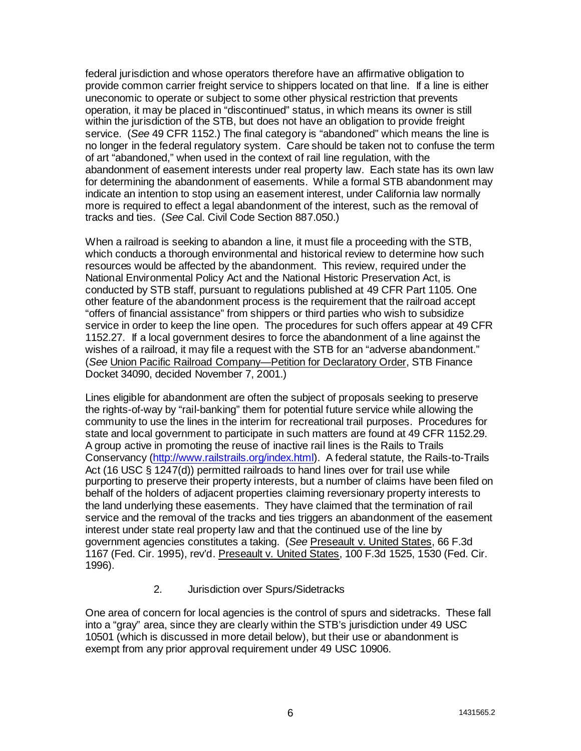federal jurisdiction and whose operators therefore have an affirmative obligation to provide common carrier freight service to shippers located on that line. If a line is either uneconomic to operate or subject to some other physical restriction that prevents operation, it may be placed in "discontinued" status, in which means its owner is still within the jurisdiction of the STB, but does not have an obligation to provide freight service. (*See* 49 CFR 1152.) The final category is "abandoned" which means the line is no longer in the federal regulatory system. Care should be taken not to confuse the term of art "abandoned," when used in the context of rail line regulation, with the abandonment of easement interests under real property law. Each state has its own law for determining the abandonment of easements. While a formal STB abandonment may indicate an intention to stop using an easement interest, under California law normally more is required to effect a legal abandonment of the interest, such as the removal of tracks and ties. (*See* Cal. Civil Code Section 887.050.)

When a railroad is seeking to abandon a line, it must file a proceeding with the STB, which conducts a thorough environmental and historical review to determine how such resources would be affected by the abandonment. This review, required under the National Environmental Policy Act and the National Historic Preservation Act, is conducted by STB staff, pursuant to regulations published at 49 CFR Part 1105. One other feature of the abandonment process is the requirement that the railroad accept "offers of financial assistance" from shippers or third parties who wish to subsidize service in order to keep the line open. The procedures for such offers appear at 49 CFR 1152.27. If a local government desires to force the abandonment of a line against the wishes of a railroad, it may file a request with the STB for an "adverse abandonment." (*See* Union Pacific Railroad Company—Petition for Declaratory Order, STB Finance Docket 34090, decided November 7, 2001.)

Lines eligible for abandonment are often the subject of proposals seeking to preserve the rights-of-way by "rail-banking" them for potential future service while allowing the community to use the lines in the interim for recreational trail purposes. Procedures for state and local government to participate in such matters are found at 49 CFR 1152.29. A group active in promoting the reuse of inactive rail lines is the Rails to Trails Conservancy (http://www.railstrails.org/index.html). A federal statute, the Rails-to-Trails Act (16 USC § 1247(d)) permitted railroads to hand lines over for trail use while purporting to preserve their property interests, but a number of claims have been filed on behalf of the holders of adjacent properties claiming reversionary property interests to the land underlying these easements. They have claimed that the termination of rail service and the removal of the tracks and ties triggers an abandonment of the easement interest under state real property law and that the continued use of the line by government agencies constitutes a taking. (*See* Preseault v. United States, 66 F.3d 1167 (Fed. Cir. 1995), rev'd. Preseault v. United States, 100 F.3d 1525, 1530 (Fed. Cir. 1996).

#### 2. Jurisdiction over Spurs/Sidetracks

One area of concern for local agencies is the control of spurs and sidetracks. These fall into a "gray" area, since they are clearly within the STB's jurisdiction under 49 USC 10501 (which is discussed in more detail below), but their use or abandonment is exempt from any prior approval requirement under 49 USC 10906.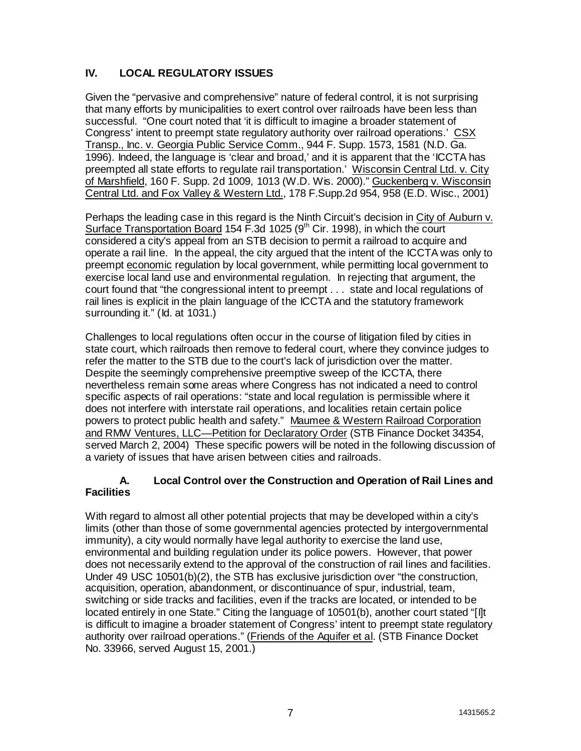# **IV. LOCAL REGULATORY ISSUES**

Given the "pervasive and comprehensive" nature of federal control, it is not surprising that many efforts by municipalities to exert control over railroads have been less than successful. "One court noted that 'it is difficult to imagine a broader statement of Congress' intent to preempt state regulatory authority over railroad operations.' CSX Transp., Inc. v. Georgia Public Service Comm., 944 F. Supp. 1573, 1581 (N.D. Ga. 1996). Indeed, the language is 'clear and broad,' and it is apparent that the 'ICCTA has preempted all state efforts to regulate rail transportation.' Wisconsin Central Ltd. v. City of Marshfield, 160 F. Supp. 2d 1009, 1013 (W.D. Wis. 2000)." Guckenberg v. Wisconsin Central Ltd. and Fox Valley & Western Ltd., 178 F.Supp.2d 954, 958 (E.D. Wisc., 2001)

Perhaps the leading case in this regard is the Ninth Circuit's decision in City of Auburn v. Surface Transportation Board 154 F.3d 1025 ( $9<sup>th</sup>$  Cir. 1998), in which the court considered a city's appeal from an STB decision to permit a railroad to acquire and operate a rail line. In the appeal, the city argued that the intent of the ICCTA was only to preempt economic regulation by local government, while permitting local government to exercise local land use and environmental regulation. In rejecting that argument, the court found that "the congressional intent to preempt . . . state and local regulations of rail lines is explicit in the plain language of the ICCTA and the statutory framework surrounding it." (Id. at 1031.)

Challenges to local regulations often occur in the course of litigation filed by cities in state court, which railroads then remove to federal court, where they convince judges to refer the matter to the STB due to the court's lack of jurisdiction over the matter. Despite the seemingly comprehensive preemptive sweep of the ICCTA, there nevertheless remain some areas where Congress has not indicated a need to control specific aspects of rail operations: "state and local regulation is permissible where it does not interfere with interstate rail operations, and localities retain certain police powers to protect public health and safety." Maumee & Western Railroad Corporation and RMW Ventures, LLC—Petition for Declaratory Order (STB Finance Docket 34354, served March 2, 2004) These specific powers will be noted in the following discussion of a variety of issues that have arisen between cities and railroads.

#### **A. Local Control over the Construction and Operation of Rail Lines and Facilities**

With regard to almost all other potential projects that may be developed within a city's limits (other than those of some governmental agencies protected by intergovernmental immunity), a city would normally have legal authority to exercise the land use, environmental and building regulation under its police powers. However, that power does not necessarily extend to the approval of the construction of rail lines and facilities. Under 49 USC 10501(b)(2), the STB has exclusive jurisdiction over "the construction, acquisition, operation, abandonment, or discontinuance of spur, industrial, team, switching or side tracks and facilities, even if the tracks are located, or intended to be located entirely in one State." Citing the language of 10501(b), another court stated "[I]t is difficult to imagine a broader statement of Congress' intent to preempt state regulatory authority over railroad operations." (Friends of the Aquifer et al. (STB Finance Docket No. 33966, served August 15, 2001.)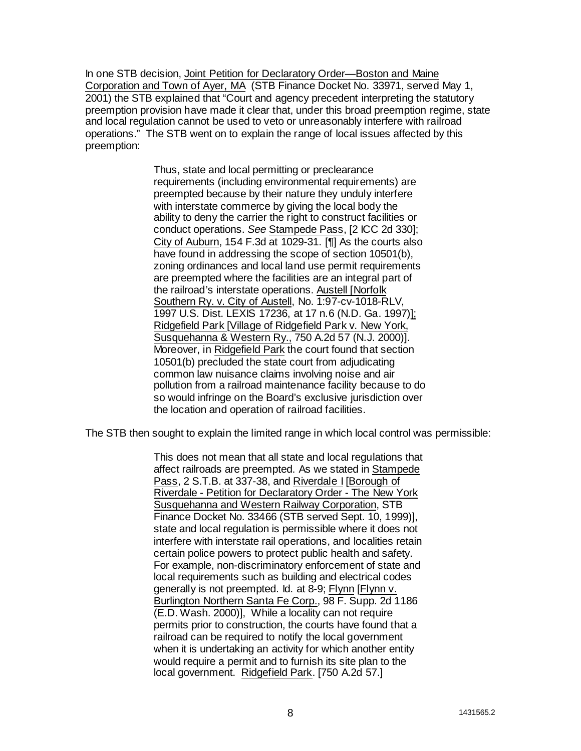In one STB decision, Joint Petition for Declaratory Order—Boston and Maine Corporation and Town of Ayer, MA (STB Finance Docket No. 33971, served May 1, 2001) the STB explained that "Court and agency precedent interpreting the statutory preemption provision have made it clear that, under this broad preemption regime, state and local regulation cannot be used to veto or unreasonably interfere with railroad operations." The STB went on to explain the range of local issues affected by this preemption:

> Thus, state and local permitting or preclearance requirements (including environmental requirements) are preempted because by their nature they unduly interfere with interstate commerce by giving the local body the ability to deny the carrier the right to construct facilities or conduct operations. *See* Stampede Pass, [2 ICC 2d 330]; City of Auburn, 154 F.3d at 1029-31. [¶] As the courts also have found in addressing the scope of section 10501(b), zoning ordinances and local land use permit requirements are preempted where the facilities are an integral part of the railroad's interstate operations. Austell [Norfolk Southern Ry. v. City of Austell, No. 1:97-cv-1018-RLV, 1997 U.S. Dist. LEXIS 17236, at 17 n.6 (N.D. Ga. 1997)]; Ridgefield Park [Village of Ridgefield Park v. New York, Susquehanna & Western Ry., 750 A.2d 57 (N.J. 2000)]. Moreover, in Ridgefield Park the court found that section 10501(b) precluded the state court from adjudicating common law nuisance claims involving noise and air pollution from a railroad maintenance facility because to do so would infringe on the Board's exclusive jurisdiction over the location and operation of railroad facilities.

The STB then sought to explain the limited range in which local control was permissible:

This does not mean that all state and local regulations that affect railroads are preempted. As we stated in Stampede Pass, 2 S.T.B. at 337-38, and Riverdale I [Borough of Riverdale - Petition for Declaratory Order - The New York Susquehanna and Western Railway Corporation, STB Finance Docket No. 33466 (STB served Sept. 10, 1999)], state and local regulation is permissible where it does not interfere with interstate rail operations, and localities retain certain police powers to protect public health and safety. For example, non-discriminatory enforcement of state and local requirements such as building and electrical codes generally is not preempted. Id. at 8-9; Flynn [Flynn v. Burlington Northern Santa Fe Corp., 98 F. Supp. 2d 1186 (E.D. Wash. 2000)], While a locality can not require permits prior to construction, the courts have found that a railroad can be required to notify the local government when it is undertaking an activity for which another entity would require a permit and to furnish its site plan to the local government. Ridgefield Park. [750 A.2d 57.]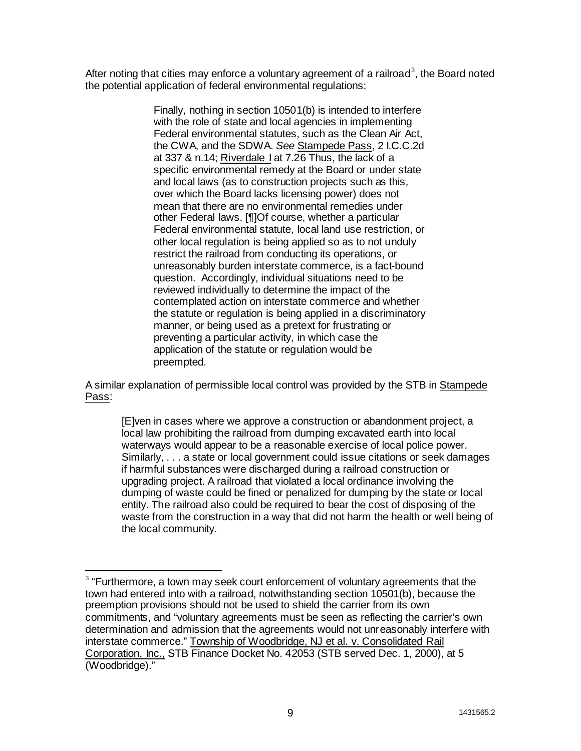After noting that cities may enforce a voluntary agreement of a railroad<sup>3</sup>, the Board noted the potential application of federal environmental regulations:

> Finally, nothing in section 10501(b) is intended to interfere with the role of state and local agencies in implementing Federal environmental statutes, such as the Clean Air Act, the CWA, and the SDWA. *See* Stampede Pass, 2 I.C.C.2d at 337 & n.14; Riverdale I at 7.26 Thus, the lack of a specific environmental remedy at the Board or under state and local laws (as to construction projects such as this, over which the Board lacks licensing power) does not mean that there are no environmental remedies under other Federal laws. [¶]Of course, whether a particular Federal environmental statute, local land use restriction, or other local regulation is being applied so as to not unduly restrict the railroad from conducting its operations, or unreasonably burden interstate commerce, is a fact-bound question. Accordingly, individual situations need to be reviewed individually to determine the impact of the contemplated action on interstate commerce and whether the statute or regulation is being applied in a discriminatory manner, or being used as a pretext for frustrating or preventing a particular activity, in which case the application of the statute or regulation would be preempted.

A similar explanation of permissible local control was provided by the STB in Stampede Pass:

[E]ven in cases where we approve a construction or abandonment project, a local law prohibiting the railroad from dumping excavated earth into local waterways would appear to be a reasonable exercise of local police power. Similarly, . . . a state or local government could issue citations or seek damages if harmful substances were discharged during a railroad construction or upgrading project. A railroad that violated a local ordinance involving the dumping of waste could be fined or penalized for dumping by the state or local entity. The railroad also could be required to bear the cost of disposing of the waste from the construction in a way that did not harm the health or well being of the local community.

 $\ddot{\phantom{a}}$  $3$  "Furthermore, a town may seek court enforcement of voluntary agreements that the town had entered into with a railroad, notwithstanding section 10501(b), because the preemption provisions should not be used to shield the carrier from its own commitments, and "voluntary agreements must be seen as reflecting the carrier's own determination and admission that the agreements would not unreasonably interfere with interstate commerce." Township of Woodbridge, NJ et al. v. Consolidated Rail Corporation, Inc., STB Finance Docket No. 42053 (STB served Dec. 1, 2000), at 5 (Woodbridge)."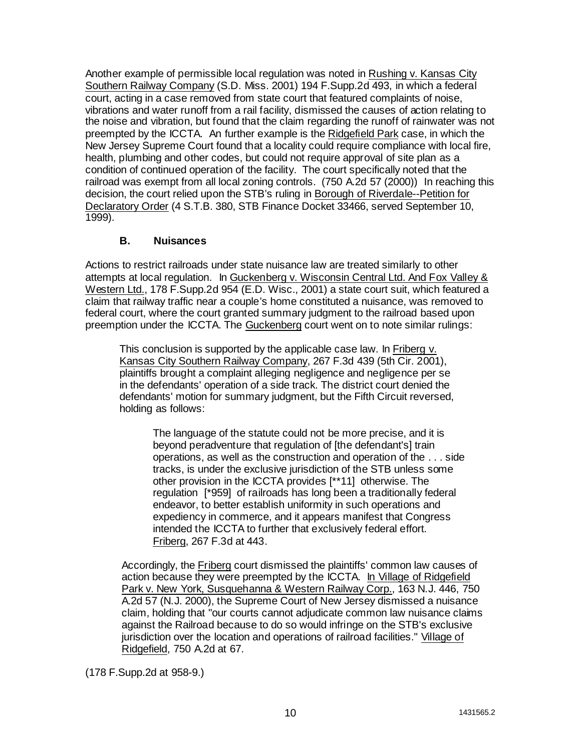Another example of permissible local regulation was noted in Rushing v. Kansas City Southern Railway Company (S.D. Miss. 2001) 194 F.Supp.2d 493, in which a federal court, acting in a case removed from state court that featured complaints of noise, vibrations and water runoff from a rail facility, dismissed the causes of action relating to the noise and vibration, but found that the claim regarding the runoff of rainwater was not preempted by the ICCTA. An further example is the Ridgefield Park case, in which the New Jersey Supreme Court found that a locality could require compliance with local fire, health, plumbing and other codes, but could not require approval of site plan as a condition of continued operation of the facility. The court specifically noted that the railroad was exempt from all local zoning controls. (750 A.2d 57 (2000)) In reaching this decision, the court relied upon the STB's ruling in Borough of Riverdale--Petition for Declaratory Order (4 S.T.B. 380, STB Finance Docket 33466, served September 10, 1999).

# **B. Nuisances**

Actions to restrict railroads under state nuisance law are treated similarly to other attempts at local regulation. In Guckenberg v. Wisconsin Central Ltd. And Fox Valley & Western Ltd., 178 F.Supp.2d 954 (E.D. Wisc., 2001) a state court suit, which featured a claim that railway traffic near a couple's home constituted a nuisance, was removed to federal court, where the court granted summary judgment to the railroad based upon preemption under the ICCTA. The Guckenberg court went on to note similar rulings:

This conclusion is supported by the applicable case law. In Friberg v. Kansas City Southern Railway Company, 267 F.3d 439 (5th Cir. 2001), plaintiffs brought a complaint alleging negligence and negligence per se in the defendants' operation of a side track. The district court denied the defendants' motion for summary judgment, but the Fifth Circuit reversed, holding as follows:

The language of the statute could not be more precise, and it is beyond peradventure that regulation of [the defendant's] train operations, as well as the construction and operation of the . . . side tracks, is under the exclusive jurisdiction of the STB unless some other provision in the ICCTA provides [\*\*11] otherwise. The regulation [\*959] of railroads has long been a traditionally federal endeavor, to better establish uniformity in such operations and expediency in commerce, and it appears manifest that Congress intended the ICCTA to further that exclusively federal effort. Friberg, 267 F.3d at 443.

Accordingly, the Friberg court dismissed the plaintiffs' common law causes of action because they were preempted by the ICCTA. In Village of Ridgefield Park v. New York, Susquehanna & Western Railway Corp., 163 N.J. 446, 750 A.2d 57 (N.J. 2000), the Supreme Court of New Jersey dismissed a nuisance claim, holding that "our courts cannot adjudicate common law nuisance claims against the Railroad because to do so would infringe on the STB's exclusive jurisdiction over the location and operations of railroad facilities." Village of Ridgefield, 750 A.2d at 67.

(178 F.Supp.2d at 958-9.)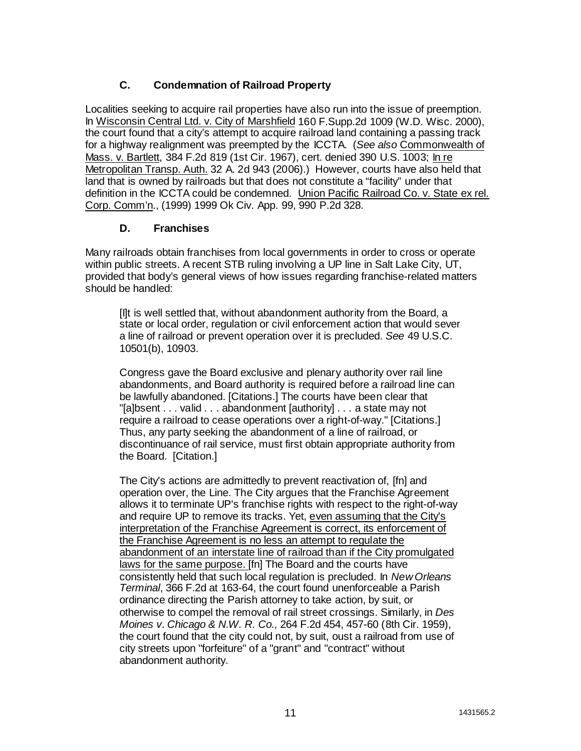# **C. Condemnation of Railroad Property**

Localities seeking to acquire rail properties have also run into the issue of preemption. In Wisconsin Central Ltd. v. City of Marshfield 160 F.Supp.2d 1009 (W.D. Wisc. 2000), the court found that a city's attempt to acquire railroad land containing a passing track for a highway realignment was preempted by the ICCTA. (*See also* Commonwealth of Mass. v. Bartlett, 384 F.2d 819 (1st Cir. 1967), cert. denied 390 U.S. 1003; In re Metropolitan Transp. Auth. 32 A. 2d 943 (2006).) However, courts have also held that land that is owned by railroads but that does not constitute a "facility" under that definition in the ICCTA could be condemned. Union Pacific Railroad Co. v. State ex rel. Corp. Comm'n., (1999) 1999 Ok Civ. App. 99, 990 P.2d 328.

# **D. Franchises**

Many railroads obtain franchises from local governments in order to cross or operate within public streets. A recent STB ruling involving a UP line in Salt Lake City, UT, provided that body's general views of how issues regarding franchise-related matters should be handled:

[I]t is well settled that, without abandonment authority from the Board, a state or local order, regulation or civil enforcement action that would sever a line of railroad or prevent operation over it is precluded. *See* 49 U.S.C. 10501(b), 10903.

Congress gave the Board exclusive and plenary authority over rail line abandonments, and Board authority is required before a railroad line can be lawfully abandoned. [Citations.] The courts have been clear that "[a]bsent . . . valid . . . abandonment [authority] . . . a state may not require a railroad to cease operations over a right-of-way." [Citations.] Thus, any party seeking the abandonment of a line of railroad, or discontinuance of rail service, must first obtain appropriate authority from the Board. [Citation.]

The City's actions are admittedly to prevent reactivation of, [fn] and operation over, the Line. The City argues that the Franchise Agreement allows it to terminate UP's franchise rights with respect to the right-of-way and require UP to remove its tracks. Yet, even assuming that the City's interpretation of the Franchise Agreement is correct, its enforcement of the Franchise Agreement is no less an attempt to regulate the abandonment of an interstate line of railroad than if the City promulgated laws for the same purpose. [fn] The Board and the courts have consistently held that such local regulation is precluded. In *New Orleans Terminal*, 366 F.2d at 163-64, the court found unenforceable a Parish ordinance directing the Parish attorney to take action, by suit, or otherwise to compel the removal of rail street crossings. Similarly, in *Des Moines v. Chicago & N.W. R. Co.,* 264 F.2d 454, 457-60 (8th Cir. 1959), the court found that the city could not, by suit, oust a railroad from use of city streets upon "forfeiture" of a "grant" and "contract" without abandonment authority.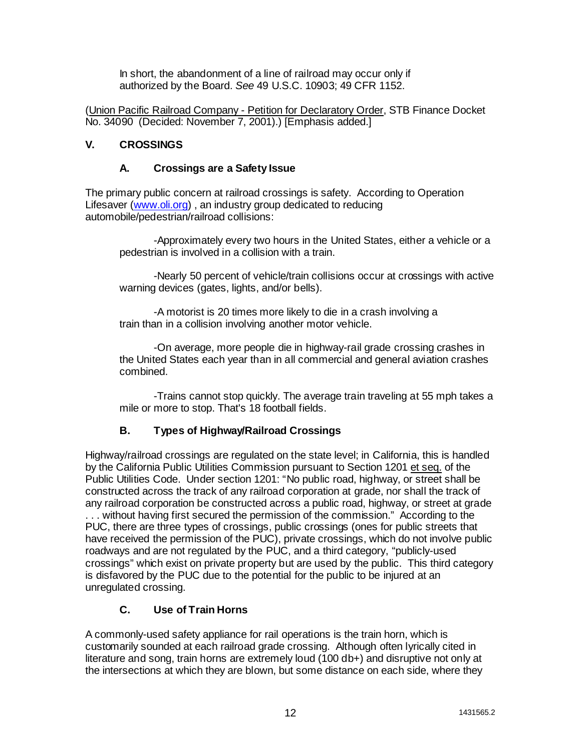In short, the abandonment of a line of railroad may occur only if authorized by the Board. *See* 49 U.S.C. 10903; 49 CFR 1152.

(Union Pacific Railroad Company - Petition for Declaratory Order, STB Finance Docket No. 34090 (Decided: November 7, 2001).) [Emphasis added.]

# **V. CROSSINGS**

## **A. Crossings are a Safety Issue**

The primary public concern at railroad crossings is safety. According to Operation Lifesaver (www.oli.org) , an industry group dedicated to reducing automobile/pedestrian/railroad collisions:

-Approximately every two hours in the United States, either a vehicle or a pedestrian is involved in a collision with a train.

-Nearly 50 percent of vehicle/train collisions occur at crossings with active warning devices (gates, lights, and/or bells).

-A motorist is 20 times more likely to die in a crash involving a train than in a collision involving another motor vehicle.

-On average, more people die in highway-rail grade crossing crashes in the United States each year than in all commercial and general aviation crashes combined.

-Trains cannot stop quickly. The average train traveling at 55 mph takes a mile or more to stop. That's 18 football fields.

# **B. Types of Highway/Railroad Crossings**

Highway/railroad crossings are regulated on the state level; in California, this is handled by the California Public Utilities Commission pursuant to Section 1201 et seq. of the Public Utilities Code. Under section 1201: "No public road, highway, or street shall be constructed across the track of any railroad corporation at grade, nor shall the track of any railroad corporation be constructed across a public road, highway, or street at grade . . . without having first secured the permission of the commission." According to the PUC, there are three types of crossings, public crossings (ones for public streets that have received the permission of the PUC), private crossings, which do not involve public roadways and are not regulated by the PUC, and a third category, "publicly-used crossings" which exist on private property but are used by the public. This third category is disfavored by the PUC due to the potential for the public to be injured at an unregulated crossing.

# **C. Use of Train Horns**

A commonly-used safety appliance for rail operations is the train horn, which is customarily sounded at each railroad grade crossing. Although often lyrically cited in literature and song, train horns are extremely loud (100 db+) and disruptive not only at the intersections at which they are blown, but some distance on each side, where they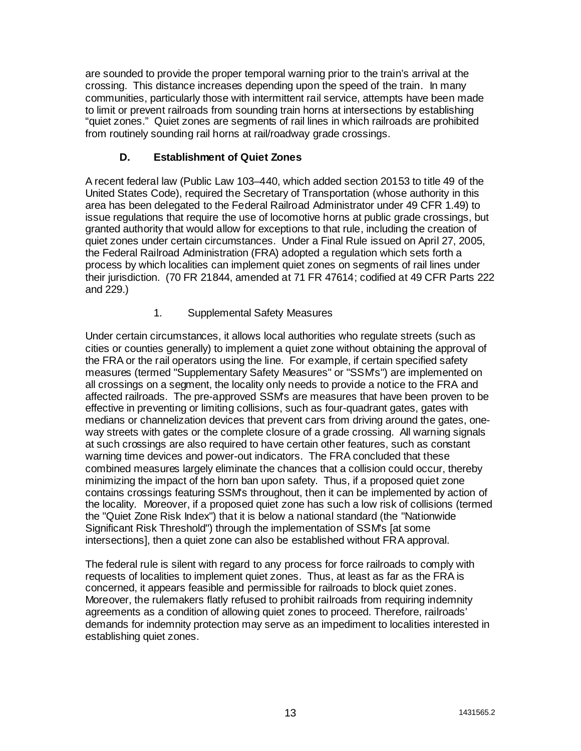are sounded to provide the proper temporal warning prior to the train's arrival at the crossing. This distance increases depending upon the speed of the train. In many communities, particularly those with intermittent rail service, attempts have been made to limit or prevent railroads from sounding train horns at intersections by establishing "quiet zones." Quiet zones are segments of rail lines in which railroads are prohibited from routinely sounding rail horns at rail/roadway grade crossings.

# **D. Establishment of Quiet Zones**

A recent federal law (Public Law 103–440, which added section 20153 to title 49 of the United States Code), required the Secretary of Transportation (whose authority in this area has been delegated to the Federal Railroad Administrator under 49 CFR 1.49) to issue regulations that require the use of locomotive horns at public grade crossings, but granted authority that would allow for exceptions to that rule, including the creation of quiet zones under certain circumstances. Under a Final Rule issued on April 27, 2005, the Federal Railroad Administration (FRA) adopted a regulation which sets forth a process by which localities can implement quiet zones on segments of rail lines under their jurisdiction. (70 FR 21844, amended at 71 FR 47614; codified at 49 CFR Parts 222 and 229.)

# 1. Supplemental Safety Measures

Under certain circumstances, it allows local authorities who regulate streets (such as cities or counties generally) to implement a quiet zone without obtaining the approval of the FRA or the rail operators using the line. For example, if certain specified safety measures (termed "Supplementary Safety Measures" or "SSM's") are implemented on all crossings on a segment, the locality only needs to provide a notice to the FRA and affected railroads. The pre-approved SSM's are measures that have been proven to be effective in preventing or limiting collisions, such as four-quadrant gates, gates with medians or channelization devices that prevent cars from driving around the gates, oneway streets with gates or the complete closure of a grade crossing. All warning signals at such crossings are also required to have certain other features, such as constant warning time devices and power-out indicators. The FRA concluded that these combined measures largely eliminate the chances that a collision could occur, thereby minimizing the impact of the horn ban upon safety. Thus, if a proposed quiet zone contains crossings featuring SSM's throughout, then it can be implemented by action of the locality. Moreover, if a proposed quiet zone has such a low risk of collisions (termed the "Quiet Zone Risk Index") that it is below a national standard (the "Nationwide Significant Risk Threshold") through the implementation of SSM's [at some intersections], then a quiet zone can also be established without FRA approval.

The federal rule is silent with regard to any process for force railroads to comply with requests of localities to implement quiet zones. Thus, at least as far as the FRA is concerned, it appears feasible and permissible for railroads to block quiet zones. Moreover, the rulemakers flatly refused to prohibit railroads from requiring indemnity agreements as a condition of allowing quiet zones to proceed. Therefore, railroads' demands for indemnity protection may serve as an impediment to localities interested in establishing quiet zones.